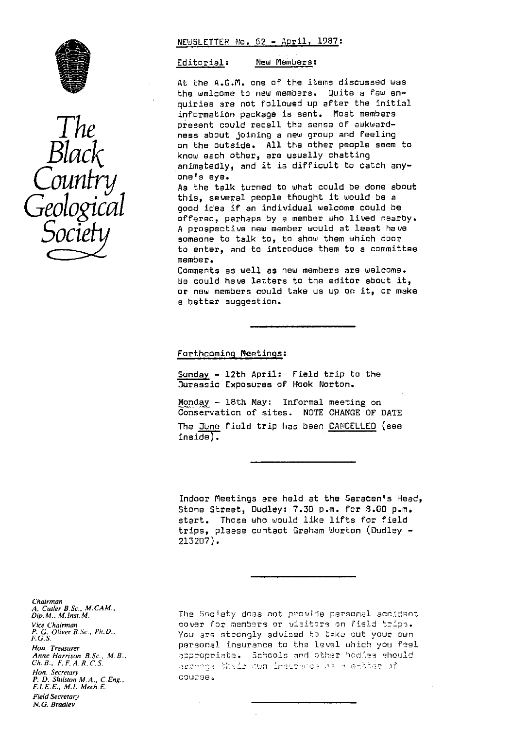



### NEWSLETTER No. 62 - April, 1987:

#### Editorial: New Members:

At the A.G.M. one of the items discussed was the welcome to new members. Quite a few enquiries are not followed up after the initial information package is sent. Most members present could recall the sense of awkwardness about joining a new group and feeling on the outside. All the other people seem to know each other, are usually chatting animatedly, and it is difficult to catch any-<br>one's eye.

**As** the talk turned to what could be done about **this, several peopla** thought it would be a *Geological* **good idea** if an **individual welcome** could be offered, perhaps by a member who lived nearby. A prospective new member would at least have someone to talk to, to show them which door to enter, and to introduce them to a committee member.

Comments as well as new members are welcome. We could have letters to the editor about it, or new members could take us up on it, or make a better suggestion.

Forthcoming Meetings :

Sunday- - 12th April: Field trip to the 3urassic Exposures of Hook Norton.

Monday - 18th May: Informal meeting on Conservation of sites. NOTE CHANGE OF DATE The 3une field **trip has been CA NCELLED (see** inside).

Indoor Meetings are held at the Saracen's Head, Stone Street, Dudley: 7.30 p.m. for 8.00 p.m. start. Those who would like lifts for field trips, plaese contact Graham Worton (Dudley - 2132g7).

*Chairman A. Cutler B.Sc., M.CAM., P. G. Oliver B.Sc., Ph.D.,*<br>*F.G.S. Hon. Secretary*<br>P. D. Shilston M.A., C.Eng., cowners example to the secret of the secret of the secret of the secret of the secret<br>*P. D. Shilston M.A., C.Eng.*, *FLEE., E. , Md . Mech.E. Field Secretary N G. Bradley*

*Dip.M., M.Insi.M.* The Society does not provide personal accident Dip.M., M.Insi.M.<br>Vice Chairman **and Community Cover for members or** visitors on field brips. cover for members or visitors on field trips. *Pou are strongly advised to take out your own Hon. Treasurer* personal insurance to the level which you feel and *here* is the level which you feel and the *here here* and other hodies should *Anne Harrison B.Sc., M.B.*, *93 <i>anne Harrison B.Sc., M.B., chco s end reference s end reference s and for a second definition and the second characteristic state of the second definition of the second definition of th* Brashda bhair cun insurance as a mgbbar af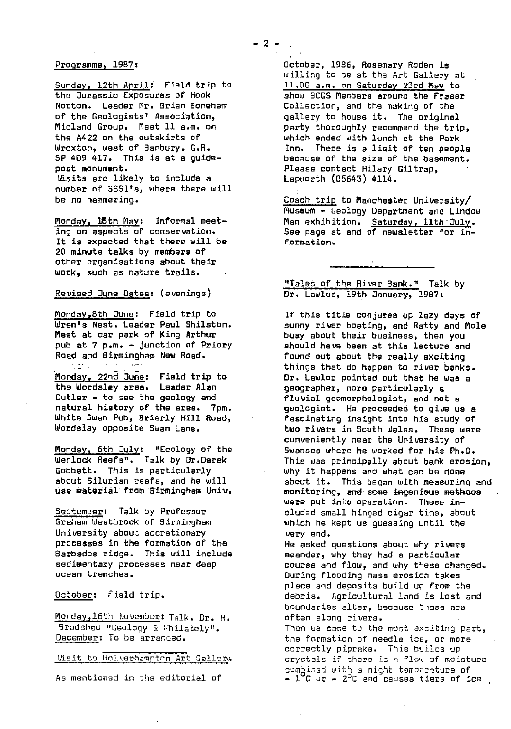#### Programme, 1987 :

Sunday, 12th April: Field trip to the Jurassic Exposures of Hook Norton. Leader Mr. Brian Boneham of the Geologists' Association, Midland Group. Meet 11 a.m. on the A422 on the outskirts of Wroxton, west of Banbury. G.R. SP 409 417. This is at a guidepost monument. Visits are likely to include a **number of 555I's,** where there will be no hammering.

**M o nday** ,\_ \_118th\_ **May :** Informal meet- **ing on aspects of conservation. It is expected that there will be 20 minute talks by members of** other organisations about their work, such as nature trails.

# Revised June Dates: (evenings)

Monday, 8th June: Field trip to Wren's Nest. Leader Paul Shilston. Meet at car park of King Arthur pub at 7 p.m. - junction of Priory **Road and** Birmingham New Road.

Monday, 22nd June: Field trip to the Wordsley area. Leader Alan Cutler - to see the geology and natural history of the area. 7pm. White Swan Pub, Brierly Hill Road, Wordsley opposite Swan Lane.

Monday, 6th July: "Ecology of the **Wenlock Reefs".** Talk by **Dr.Derek** Gobbett. This is particularly about Silurian reefs, and he will use material from Birmingham Univ.

September: Talk by Professor Graham Westbrook of Birmingham University about accretionary processes in the formation of the Barbados ridge. This will include sedimentary proc asses near deepocean trenches.

October: Field trip.

Monday, 16th November: Talk. Dr. R. Rradsheu "Geology & Philately". December: To be arranged.

Visit to Uolverhempton Art Gallen,

As mentioned in the editorial of

October, 1986, Rosemary Roden is willing to be at the Art Gallery at 11.00 a.m. on Saturday 23rd May to show BCGS Members around the Fraser Collection, and the making of the gallery to house it. The **original** party thoroughly recommend the trip, which ended with lunch at the Park Inn. There is a limit of ten people because of the size of the basement. Please contact Hilary Giltrap, Lapwarth (05643) 4114.

Coach trip to **Manchester University/ Museum - Geology Department and Lindow** Man exhibition. <u>Saturday, llth-July</u>. See page at and of newsletter for information.

"Tales of the River Bank." Talk by Dr. Lawlor, 19th January, 1987:

If this title conjures up lazy days of sunny river boating, and Ratty and Mole busy about their business, then you should have been at this lecture and found out about the really exciting things that do happen to river banks. Cr. Lawlor pointed out that he was a geographer, more particularly a fluvial geomorphologist, and not a geologist. He proceeded to give us a fascinating insight into his study of two rivers in South Wales. These were conveniently near the University of Swansea where he worked for his Ph.D. This was principally about bank erosion, why it happens and what can be done about it. This began with measuring and monitoring, and some - :e•gen-i **ts\_** methods were put into operation. These included small hinged cigar tins, about which he kept us guessing until the very end.

He asked questions about why rivers meander, why they had a particular course and flow, and why these changed. During flooding mass erosion takes place and deposits build up from the debris. Agricultural land is lost and boundaries alter, because these are often along rivers.

Then we came to the most exciting part, the formation of needle ice, or more correctly piprake. This builds up crystals if there is a flow of moistura compined with a night temperature of  $-$  1<sup>°</sup>C or  $-$  2<sup>o</sup>C and causes tiers of ice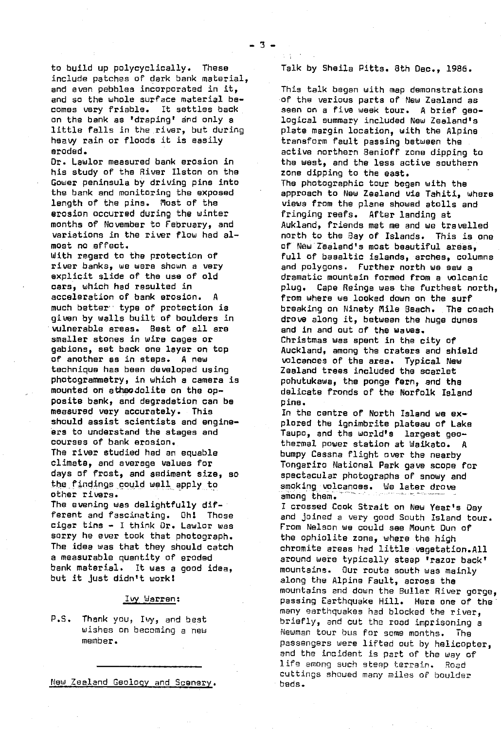to build up polycyclically. These Talk by Sheila Pitts. 8th Dec., 1986. include patches of dark bank material,<br>and even pebbles incorporated in it, and so the whole surface material be-<br>*comes very friable.* It settles back heavy rain or floods it is easily transform fault passing between the

his study of the River Ilston on the<br>Gower peninsula by driving pins into Gower peninsula by driving pins into The photographic tour began with the<br>the bank and monitoring the exposed approach to New Zealand via Tahiti, i erosion occurred during the winter fringing reefs. After landing at months of November to February, and and Aukland, friends met me and we tr

vulnerable areas. Best of all are and in and out of the waves.<br>smaller stones in wire cages or and in the community of the community of the community of the community of the smaller stones in wire cages or Christmas was spent in the city of of another as in steps. A new volcanoes of the area. Typical New technique has been developed using Zealand trees included the scarlet photogrammetry, in which a camera is pohutukawa, the ponge fern, and the posite bank, and degradation can be pine.<br>measured very accurately. This can be forth measured very accurately. This in the centre of North Island we ex-<br>should assist scientists and engine- in plored the ionimbrite plateau of Lake era to understand the stages and Taupe, and the world's largest geo- courses of bank erosion.<br>The river studied had an equable the humpy Cassna flight quer the pearby. The river studied had an equable bumpy Cessna flight over the nearby<br>climate, and average values for bumpy Cessna flight over the nearby the findings could well appl

other rivers.<br>The evening was delightfully dif-<br>I crossed C The evening was delightfully dif- I crossed Cook Strait on New Year's Day sorry he ever took that photograph. the ophiolite zone, where the high<br>The idea was that they should catch chromite areas had little vanetati

New Zealand Geology and Scener<sup>y</sup>

This talk began with map demonstrations<br>of the various parts of New Zealand as comes very friable. It settles back seen on a five week tour. A brief geo-<br>on the bank as 'draping' and only a strategical summary included New Zealand's on the bank as 'draping' and only a logical summary included New Zealand's<br>little falls in the river, but during a plate margin location, with the Alpine little falls in the river, but during the plate margin location, with the Alpine<br>heavy rain or floods it is easily the transform fault passing between the eroded.<br>Dr. Lawlor measured bank erosion in active northern Benioff zone dipping to<br>the west, and the less active southern the west, and the less active southern<br>zone dipping to the east. the bank and monitoring the exposed approach to New Zealand via Tahiti, where length of the pins. Most of the and views from the plane showed atolls and length of the pins. Most of the views from the plane showed atolls and<br>erosion occurred during the winter and fringing reafs. After landing at months of November to February, and Aukland, friends met me and we travelled<br>variations in the river flow had al- north to the Bay of Islands. This is one variations in the river flow had al- correct to the Say of Islands. This is one<br>most no effect. most no effect.<br>With regard to the protection of flew Zealand's most beautiful areas, with regard to the protection of fluid of With regard to the protection of full of basaltic islands, arches, columns<br>wiver banks, we were shown a very sand polygons. Further north we saw a river banks, we were shown a very and polygons. Further north we saw a<br>explicit slide of the use of old and dramatic mountain formed from a volca explicit slide of the use of old dramatic mountain formed from a volcanic<br>cars, which had resulted in deel dramatic plug. Cape Reinga was the furthest north cars, which had resulted in end plug. Cape Reinga was the furthest north,<br>acceleration of bank erosion. A straw there we looked down on the surf acceleration of bank erosion. A from where we looked down on the surf<br>much better type of protection is breaking on Ninety Mile Beach. The c much better type of protection is breaking on Ninety Mile Beach. The coach given by walls built of boulders in drove along it, between the huge dunes<br>vulnerable areas. Best of all are the and in and out of the waves. gabions, set back one layer on top Auckland, among the craters and shield delicate fronds of the Norfolk Island

should assist scientists and engine- plored the ignimbrite plateau of Lake climate, and average values for Tongariro National Park gave scope for spectacular photographs of snowy and smoking volcanoes. We later drove

ferent and fascinating. Oh: Those and joined a very good South Island tour. cigar tins - I think Dr. Lawlor was From Nelson we could see Mount Dun of<br>sorry he ever took that photograph. The ophiplite zone, where the bich *The idea was that they* should catch chromite areas had little *aegetetion.All* a measurable quantity of eroded around were typically steep 'razor back'<br>bank material. It was a good idea, a mountains. Our route south was mainly bank material. It was a good idea, mountains. Our route south was mainly along the Alpine Fault, across the mountains and down the Suller River gorge, Ivy Warren: passing Earthquake Hill. Here one of the' many earthquakes had blocked the river, P.S. Thank you, Ivy, and best briefly, and cut the road imprisoning a<br>wishes on becoming a new serve Newman tour bus for some months. The wishes on becoming a new Newman tour bus for some months. The passengers were lifted out by helicopter. and the incident is part of the way of life among such steep terrain. Road cuttings showed many miles of boulder . beds.

 $-7 -$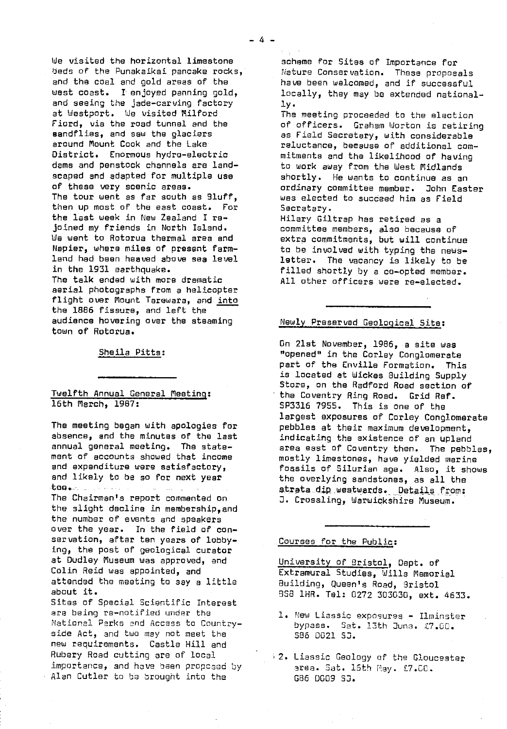*We visited* the horizontal limestone beds of the Punakaikai pancake rocks, and the coal and gold areas of the west coast. I'enjoyed panning gold, and seeing the jade-carving factory at Westport. We visited Milford Fiord, via the road tunnel and the sandflies, and saw the glaciers around Mount Cook and the Lake District. Enormous hydro-electric dams and penstock channels are landscaped and adapted for multiple use of **these** very scenic areas. The tour went as far south as Sluff, then up most of the east coast. For the last week in New Zealand I rejoined my friends in North Island. We went to Rotorua thermal area and Napier, where miles of present farmland had been heaved above sea level in the 1931 earthquake. The talk ended with more dramatic aerial photographs from a helicopter flight over Mount Tarewara, and into the 1886 fissure, and left the audience hovering over the steaming

Sheila Pitts:

town of Rotorua.

### Twelfth Annual General Meeting: 16th March, 1987:

The meeting began with apologies for absence, and the minutes of the last annual general meeting. The statement of accounts showed that income and expenditure were satisfactory, and likely to be so for next year The Chairman's report commented on the slight decline in membership,and the number of events and speakers over the year. In the field of conservation, after ten years of lobbying, the post of geological curator at Dudley Museum was approved, and Colin Reid was appointed, and attended the meeting to say a little about it. Sites of Special Scientific Interest are being re-notified under the National Perks and Access to Countryside Act, and two may not meet the new requirements. Castle Hill and

scheme for Sites of Importance for Nature Conservation. These proposals have been welcomed, and if successful locally, they may be extended nationally.

The meeting proceeded to the election of officers. Graham Worton is retiring as Field Secretary, with considerable reluctance, because of additional commitments and the likelihood of having to work away from the West Midlands shortly. He wants to continue as an ordinary committee member. John Easter was elected to succeed him as Field Secretary.

Hilary Giltrap has retired as a committee members, also because of extra commitments, but will continue to be involved with typing the newsletter. The vacancy is likely to be filled shortly by a co-opted member. All other officers were re-elected.

# Newly Preserved Geological Site:

On 21st November, 1986, a site was "opened" in the Corley Conglomerate part of the Enville Formation. This is located at Wickes Building Supply Store, on the Radford Road section of the Coventry Ring Road. Grid Ref. SP3316 7955. This is one of the largest exposures of Corley Conglomerate pebbles at their maximum development, indicating the existence of an upland *area east of Coventry* then. The pebbles, mostly limestones, have yielded marine fossils of Silurian age. Also, it shows the overlying sandstones, as all the strata dip westwards. Details from: 3. Crossling, Warwickshire Museum.

## Courses for the Public:

University of Bristol, Dept. of Extramural Studies, Wills Memorial Building, Queen's Road, Bristol 938 1HR. Tel: 0272 303030, ext. 4633.

- 1. New Liassic exposures Ilminster bypass. Sat. 13th Suns. £7.00. 585 0021 63.
- } 2. Liassic. Geology of the Gloucester area. Sat. 15th May. £7.00. G86 D009 53.

Rubery Road cutting are of local importance, and have been propcsod by Alan Cutler to be brought into the